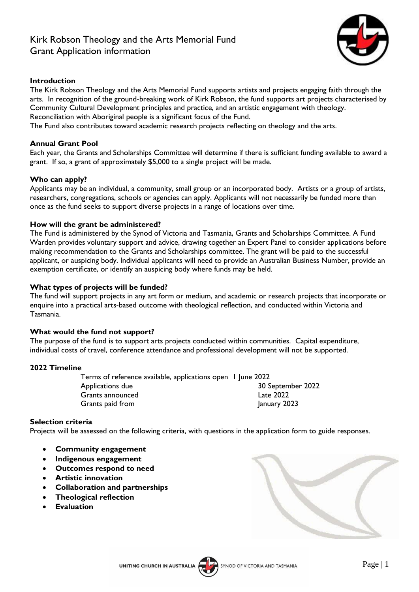# Kirk Robson Theology and the Arts Memorial Fund Grant Application information



# **Introduction**

The Kirk Robson Theology and the Arts Memorial Fund supports artists and projects engaging faith through the arts. In recognition of the ground-breaking work of Kirk Robson, the fund supports art projects characterised by Community Cultural Development principles and practice, and an artistic engagement with theology. Reconciliation with Aboriginal people is a significant focus of the Fund.

The Fund also contributes toward academic research projects reflecting on theology and the arts.

# **Annual Grant Pool**

Each year, the Grants and Scholarships Committee will determine if there is sufficient funding available to award a grant. If so, a grant of approximately \$5,000 to a single project will be made.

# **Who can apply?**

Applicants may be an individual, a community, small group or an incorporated body. Artists or a group of artists, researchers, congregations, schools or agencies can apply. Applicants will not necessarily be funded more than once as the fund seeks to support diverse projects in a range of locations over time.

## **How will the grant be administered?**

The Fund is administered by the Synod of Victoria and Tasmania, Grants and Scholarships Committee. A Fund Warden provides voluntary support and advice, drawing together an Expert Panel to consider applications before making recommendation to the Grants and Scholarships committee. The grant will be paid to the successful applicant, or auspicing body. Individual applicants will need to provide an Australian Business Number, provide an exemption certificate, or identify an auspicing body where funds may be held.

## **What types of projects will be funded?**

The fund will support projects in any art form or medium, and academic or research projects that incorporate or enquire into a practical arts-based outcome with theological reflection, and conducted within Victoria and Tasmania.

#### **What would the fund not support?**

The purpose of the fund is to support arts projects conducted within communities. Capital expenditure, individual costs of travel, conference attendance and professional development will not be supported.

#### **2022 Timeline**

Terms of reference available, applications open 1 June 2022 Applications due 30 September 2022 Grants announced Late 2022 Grants paid from January 2023

#### **Selection criteria**

Projects will be assessed on the following criteria, with questions in the application form to guide responses.

- **Community engagement**
- **Indigenous engagement**
- **Outcomes respond to need**
- **Artistic innovation**
- **Collaboration and partnerships**
- **Theological reflection**
- **Evaluation**